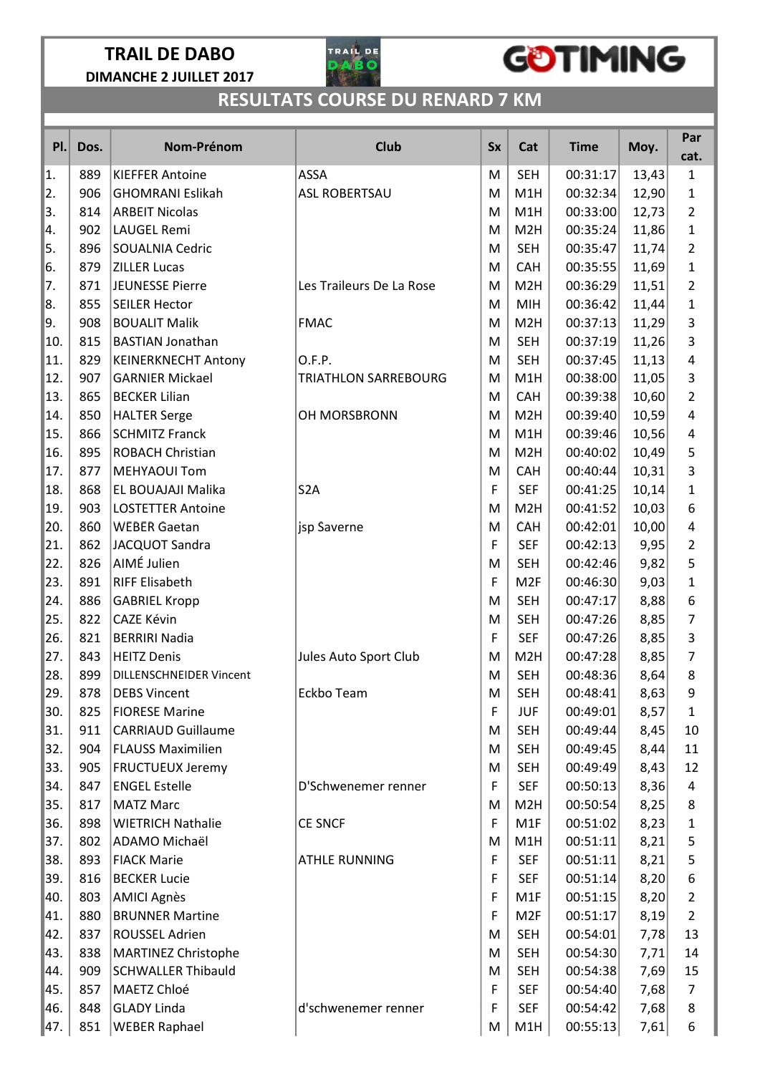### TRAIL DE DABO DIMANCHE 2 JUILLET 2017



## **GOTIMING**

### RESULTATS COURSE DU RENARD 7 KM

| PI.  | Dos. | Nom-Prénom                 | <b>Club</b>              | <b>Sx</b> | Cat              | <b>Time</b> | Moy.  | Par<br>cat.    |
|------|------|----------------------------|--------------------------|-----------|------------------|-------------|-------|----------------|
| 1.   | 889  | <b>KIEFFER Antoine</b>     | <b>ASSA</b>              | M         | <b>SEH</b>       | 00:31:17    | 13,43 | $\mathbf{1}$   |
| 2.   | 906  | <b>GHOMRANI Eslikah</b>    | ASL ROBERTSAU            | M         | M1H              | 00:32:34    | 12,90 | 1              |
| 3.   | 814  | <b>ARBEIT Nicolas</b>      |                          | M         | M1H              | 00:33:00    | 12,73 | $\overline{2}$ |
| 14.  | 902  | LAUGEL Remi                |                          | M         | M <sub>2</sub> H | 00:35:24    | 11,86 | 1              |
| 5.   | 896  | <b>SOUALNIA Cedric</b>     |                          | M         | <b>SEH</b>       | 00:35:47    | 11,74 | 2              |
| 6.   | 879  | <b>ZILLER Lucas</b>        |                          | M         | CAH              | 00:35:55    | 11,69 | $\mathbf{1}$   |
| 7.   | 871  | JEUNESSE Pierre            | Les Traileurs De La Rose | M         | M <sub>2</sub> H | 00:36:29    | 11,51 | $\overline{2}$ |
| 8.   | 855  | <b>SEILER Hector</b>       |                          | M         | <b>MIH</b>       | 00:36:42    | 11,44 | 1              |
| 9.   | 908  | <b>BOUALIT Malik</b>       | <b>FMAC</b>              | M         | M <sub>2</sub> H | 00:37:13    | 11,29 | 3              |
| 10.  | 815  | <b>BASTIAN Jonathan</b>    |                          | M         | <b>SEH</b>       | 00:37:19    | 11,26 | 3              |
| 11.  | 829  | <b>KEINERKNECHT Antony</b> | O.F.P.                   | M         | <b>SEH</b>       | 00:37:45    | 11,13 | 4              |
| 12.  | 907  | <b>GARNIER Mickael</b>     | TRIATHLON SARREBOURG     | M         | M1H              | 00:38:00    | 11,05 | 3              |
| 13.  | 865  | <b>BECKER Lilian</b>       |                          | M         | CAH              | 00:39:38    | 10,60 | $\overline{2}$ |
| 14.  | 850  | <b>HALTER Serge</b>        | OH MORSBRONN             | M         | M <sub>2</sub> H | 00:39:40    | 10,59 | 4              |
| 15.  | 866  | <b>SCHMITZ Franck</b>      |                          | M         | M1H              | 00:39:46    | 10,56 | 4              |
| 16.  | 895  | <b>ROBACH Christian</b>    |                          | M         | M <sub>2</sub> H | 00:40:02    | 10,49 | 5              |
| 17.  | 877  | <b>MEHYAOUI Tom</b>        |                          | M         | <b>CAH</b>       | 00:40:44    | 10,31 | 3              |
| 18.  | 868  | EL BOUAJAJI Malika         | S <sub>2</sub> A         | F         | <b>SEF</b>       | 00:41:25    | 10,14 | $\mathbf{1}$   |
| 19.  | 903  | <b>LOSTETTER Antoine</b>   |                          | M         | M <sub>2</sub> H | 00:41:52    | 10,03 | 6              |
| 20.  | 860  | <b>WEBER Gaetan</b>        | jsp Saverne              | M         | CAH              | 00:42:01    | 10,00 | 4              |
| 21.  | 862  | JACQUOT Sandra             |                          | F         | <b>SEF</b>       | 00:42:13    | 9,95  | $\overline{2}$ |
| 22.  | 826  | AIMÉ Julien                |                          | M         | <b>SEH</b>       | 00:42:46    | 9,82  | 5              |
| 23.  | 891  | <b>RIFF Elisabeth</b>      |                          | F         | M <sub>2F</sub>  | 00:46:30    | 9,03  | $\mathbf 1$    |
| 24.  | 886  | <b>GABRIEL Kropp</b>       |                          | M         | <b>SEH</b>       | 00:47:17    | 8,88  | 6              |
| 25.  | 822  | CAZE Kévin                 |                          | M         | <b>SEH</b>       | 00:47:26    | 8,85  | $\overline{7}$ |
| 26.  | 821  | <b>BERRIRI Nadia</b>       |                          | F         | <b>SEF</b>       | 00:47:26    | 8,85  | 3              |
| 27.  | 843  | <b>HEITZ Denis</b>         | Jules Auto Sport Club    | M         | M <sub>2</sub> H | 00:47:28    | 8,85  | $\overline{7}$ |
| 28.  | 899  | DILLENSCHNEIDER Vincent    |                          | M         | <b>SEH</b>       | 00:48:36    | 8,64  | 8              |
| ∥29. | 878  | DEBS Vincent               | Eckbo Team               | M         | <b>SEH</b>       | 00:48:41    | 8,63  | 9              |
| 30.  | 825  | <b>FIORESE Marine</b>      |                          | F         | <b>JUF</b>       | 00:49:01    | 8,57  | $\mathbf{1}$   |
| 31.  | 911  | <b>CARRIAUD Guillaume</b>  |                          | M         | <b>SEH</b>       | 00:49:44    | 8,45  | 10             |
| 32.  | 904  | <b>FLAUSS Maximilien</b>   |                          | M         | <b>SEH</b>       | 00:49:45    | 8,44  | 11             |
| 33.  | 905  | <b>FRUCTUEUX Jeremy</b>    |                          | M         | <b>SEH</b>       | 00:49:49    | 8,43  | 12             |
| 34.  | 847  | <b>ENGEL Estelle</b>       | D'Schwenemer renner      | F         | <b>SEF</b>       | 00:50:13    | 8,36  | 4              |
| 35.  | 817  | <b>MATZ Marc</b>           |                          | M         | M <sub>2</sub> H | 00:50:54    | 8,25  | 8              |
| 36.  | 898  | <b>WIETRICH Nathalie</b>   | <b>CE SNCF</b>           | F         | M1F              | 00:51:02    | 8,23  | $\mathbf{1}$   |
| 37.  | 802  | ADAMO Michaël              |                          | M         | M1H              | 00:51:11    | 8,21  | 5              |
| 38.  | 893  | <b>FIACK Marie</b>         | <b>ATHLE RUNNING</b>     | F         | <b>SEF</b>       | 00:51:11    | 8,21  | 5              |
| 39.  | 816  | <b>BECKER Lucie</b>        |                          | F         | <b>SEF</b>       | 00:51:14    | 8,20  | 6              |
| 40.  | 803  | AMICI Agnès                |                          | F         | M1F              | 00:51:15    | 8,20  | $\overline{2}$ |
| 41.  | 880  | <b>BRUNNER Martine</b>     |                          | F         | M <sub>2F</sub>  | 00:51:17    | 8,19  | $\overline{2}$ |
| 42.  | 837  | <b>ROUSSEL Adrien</b>      |                          | M         | <b>SEH</b>       | 00:54:01    | 7,78  | 13             |
| 43.  | 838  | MARTINEZ Christophe        |                          | M         | <b>SEH</b>       | 00:54:30    | 7,71  | 14             |
| 44.  | 909  | <b>SCHWALLER Thibauld</b>  |                          | M         | <b>SEH</b>       | 00:54:38    | 7,69  | 15             |
| 45.  | 857  | MAETZ Chloé                |                          | F         | <b>SEF</b>       | 00:54:40    | 7,68  | 7              |
| 46.  | 848  | <b>GLADY Linda</b>         | d'schwenemer renner      | F         | <b>SEF</b>       | 00:54:42    | 7,68  | 8              |
| 47.  | 851  | <b>WEBER Raphael</b>       |                          | M         | M1H              | 00:55:13    | 7,61  | 6              |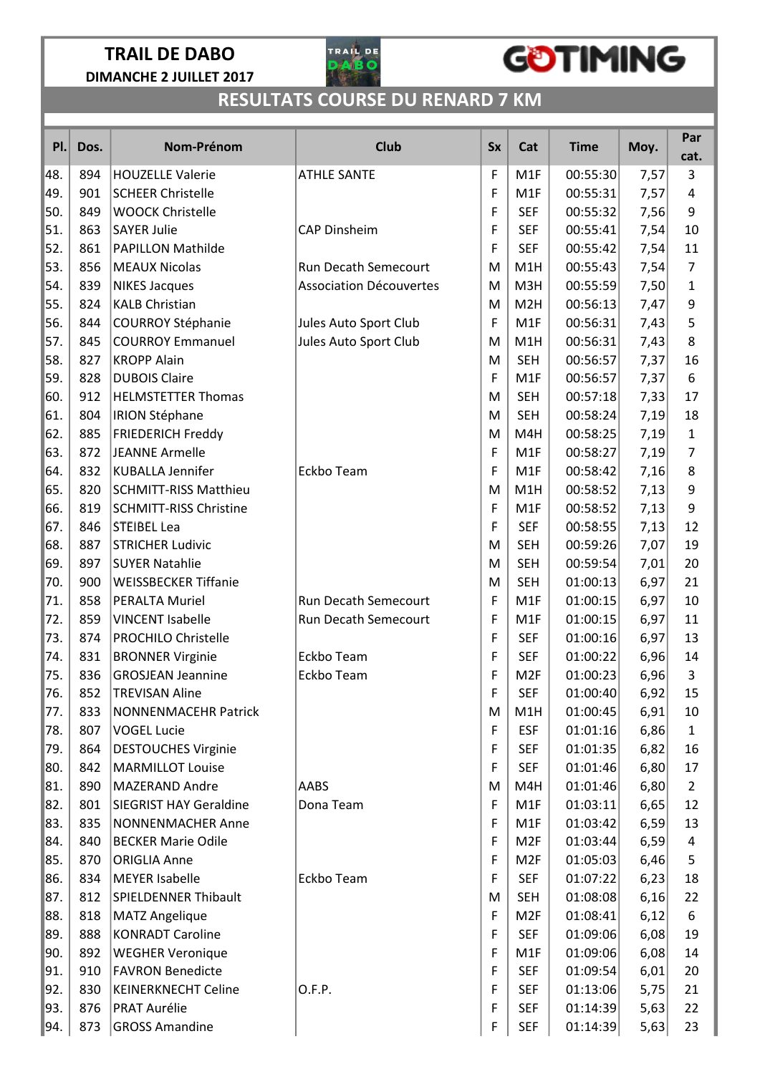### TRAIL DE DABO DIMANCHE 2 JUILLET 2017



## **GOTIMING**

### RESULTATS COURSE DU RENARD 7 KM

| PI. | Dos. | Nom-Prénom                    | <b>Club</b>                    | <b>Sx</b> | Cat              | <b>Time</b> | Moy. | Par<br>cat.    |
|-----|------|-------------------------------|--------------------------------|-----------|------------------|-------------|------|----------------|
| 48. | 894  | <b>HOUZELLE Valerie</b>       | <b>ATHLE SANTE</b>             | F         | M1F              | 00:55:30    | 7,57 | 3              |
| 49. | 901  | <b>SCHEER Christelle</b>      |                                | F         | M1F              | 00:55:31    | 7,57 | 4              |
| 50. | 849  | <b>WOOCK Christelle</b>       |                                | F         | <b>SEF</b>       | 00:55:32    | 7,56 | 9              |
| 51. | 863  | <b>SAYER Julie</b>            | <b>CAP Dinsheim</b>            | F         | <b>SEF</b>       | 00:55:41    | 7,54 | 10             |
| 52. | 861  | <b>PAPILLON Mathilde</b>      |                                | F         | <b>SEF</b>       | 00:55:42    | 7,54 | 11             |
| 53. | 856  | <b>MEAUX Nicolas</b>          | Run Decath Semecourt           | M         | M1H              | 00:55:43    | 7,54 | $\overline{7}$ |
| 54. | 839  | <b>NIKES Jacques</b>          | <b>Association Découvertes</b> | M         | M3H              | 00:55:59    | 7,50 | $\mathbf{1}$   |
| 55. | 824  | <b>KALB Christian</b>         |                                | M         | M <sub>2</sub> H | 00:56:13    | 7,47 | 9              |
| 56. | 844  | <b>COURROY Stéphanie</b>      | Jules Auto Sport Club          | F         | M1F              | 00:56:31    | 7,43 | 5              |
| 57. | 845  | <b>COURROY Emmanuel</b>       | Jules Auto Sport Club          | M         | M1H              | 00:56:31    | 7,43 | 8              |
| 58. | 827  | <b>KROPP Alain</b>            |                                | M         | <b>SEH</b>       | 00:56:57    | 7,37 | 16             |
| 59. | 828  | <b>DUBOIS Claire</b>          |                                | F         | M1F              | 00:56:57    | 7,37 | 6              |
| 60. | 912  | <b>HELMSTETTER Thomas</b>     |                                | M         | <b>SEH</b>       | 00:57:18    | 7,33 | 17             |
| 61. | 804  | <b>IRION Stéphane</b>         |                                | M         | <b>SEH</b>       | 00:58:24    | 7,19 | 18             |
| 62. | 885  | <b>FRIEDERICH Freddy</b>      |                                | M         | M4H              | 00:58:25    | 7,19 | $\mathbf{1}$   |
| 63. | 872  | JEANNE Armelle                |                                | F         | M1F              | 00:58:27    | 7,19 | $\overline{7}$ |
| 64. | 832  | <b>KUBALLA Jennifer</b>       | Eckbo Team                     | F         | M1F              | 00:58:42    | 7,16 | 8              |
| 65. | 820  | <b>SCHMITT-RISS Matthieu</b>  |                                | M         | M1H              | 00:58:52    | 7,13 | 9              |
| 66. | 819  | <b>SCHMITT-RISS Christine</b> |                                | F         | M1F              | 00:58:52    | 7,13 | 9              |
| 67. | 846  | <b>STEIBEL Lea</b>            |                                | F         | <b>SEF</b>       | 00:58:55    | 7,13 | 12             |
| 68. | 887  | <b>STRICHER Ludivic</b>       |                                | M         | <b>SEH</b>       | 00:59:26    | 7,07 | 19             |
| 69. | 897  | <b>SUYER Natahlie</b>         |                                | M         | <b>SEH</b>       | 00:59:54    | 7,01 | 20             |
| 70. | 900  | <b>WEISSBECKER Tiffanie</b>   |                                | M         | <b>SEH</b>       | 01:00:13    | 6,97 | 21             |
| 71. | 858  | PERALTA Muriel                | Run Decath Semecourt           | F         | M1F              | 01:00:15    | 6,97 | 10             |
| 72. | 859  | <b>VINCENT Isabelle</b>       | Run Decath Semecourt           | F         | M1F              | 01:00:15    | 6,97 | 11             |
| 73. | 874  | <b>PROCHILO Christelle</b>    |                                | F         | <b>SEF</b>       | 01:00:16    | 6,97 | 13             |
| 74. | 831  | <b>BRONNER Virginie</b>       | Eckbo Team                     | F         | <b>SEF</b>       | 01:00:22    | 6,96 | 14             |
| 75. | 836  | <b>GROSJEAN Jeannine</b>      | Eckbo Team                     | F         | M <sub>2F</sub>  | 01:00:23    | 6,96 | 3              |
| 76. | 852  | <b>TREVISAN Aline</b>         |                                | F         | <b>SEF</b>       | 01:00:40    | 6,92 | 15             |
| 77. | 833  | <b>NONNENMACEHR Patrick</b>   |                                | M         | M1H              | 01:00:45    | 6,91 | 10             |
| 78. | 807  | <b>VOGEL Lucie</b>            |                                | F         | <b>ESF</b>       | 01:01:16    | 6,86 | $\mathbf{1}$   |
| 79. | 864  | <b>DESTOUCHES Virginie</b>    |                                | F         | <b>SEF</b>       | 01:01:35    | 6,82 | 16             |
| 80. | 842  | <b>MARMILLOT Louise</b>       |                                | F         | <b>SEF</b>       | 01:01:46    | 6,80 | 17             |
| 81. | 890  | MAZERAND Andre                | AABS                           | M         | M4H              | 01:01:46    | 6,80 | $\overline{2}$ |
| 82. | 801  | <b>SIEGRIST HAY Geraldine</b> | Dona Team                      | F         | M1F              | 01:03:11    | 6,65 | 12             |
| 83. | 835  | <b>NONNENMACHER Anne</b>      |                                | F         | M1F              | 01:03:42    | 6,59 | 13             |
| 84. | 840  | <b>BECKER Marie Odile</b>     |                                | F         | M <sub>2F</sub>  | 01:03:44    | 6,59 | 4              |
| 85. | 870  | <b>ORIGLIA Anne</b>           |                                | F         | M <sub>2F</sub>  | 01:05:03    | 6,46 | 5              |
| 86. | 834  | <b>MEYER Isabelle</b>         | Eckbo Team                     | F         | <b>SEF</b>       | 01:07:22    | 6,23 | 18             |
| 87. | 812  | <b>SPIELDENNER Thibault</b>   |                                | M         | <b>SEH</b>       | 01:08:08    | 6,16 | 22             |
| 88. | 818  | <b>MATZ Angelique</b>         |                                | F         | M <sub>2F</sub>  | 01:08:41    | 6,12 | 6              |
| 89. | 888  | <b>KONRADT Caroline</b>       |                                | F         | <b>SEF</b>       | 01:09:06    | 6,08 | 19             |
| 90. | 892  | <b>WEGHER Veronique</b>       |                                | F         | M1F              | 01:09:06    | 6,08 | 14             |
| 91. | 910  | <b>FAVRON Benedicte</b>       |                                | F         | <b>SEF</b>       | 01:09:54    | 6,01 | 20             |
| 92. | 830  | <b>KEINERKNECHT Celine</b>    | O.F.P.                         | F         | <b>SEF</b>       | 01:13:06    | 5,75 | 21             |
| 93. | 876  | PRAT Aurélie                  |                                | F         | <b>SEF</b>       | 01:14:39    | 5,63 | 22             |
| 94. | 873  | <b>GROSS Amandine</b>         |                                | F         | <b>SEF</b>       | 01:14:39    | 5,63 | 23             |